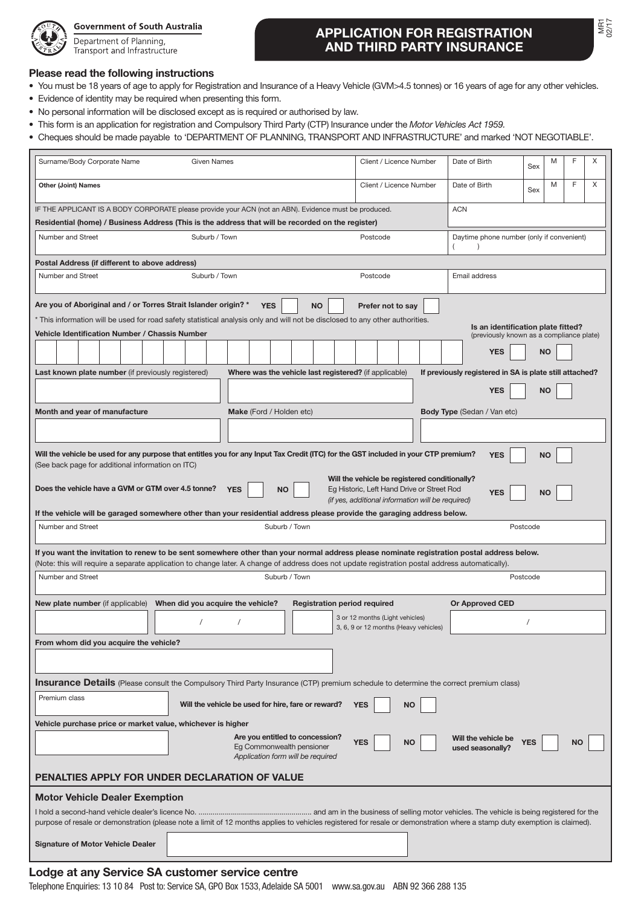

## **Government of South Australia**

Department of Planning, Transport and Infrastructure

## **APPLICATION FOR REGISTRATION AND THIRD PARTY INSURANCE**

## **Please read the following instructions**

- • You must be 18 years of age to apply for Registration and Insurance of a Heavy Vehicle (GVM>4.5 tonnes) or 16 years of age for any other vehicles.
- • Evidence of identity may be required when presenting this form.
- No personal information will be disclosed except as is required or authorised by law.
- • This form is an application for registration and Compulsory Third Party (CTP) Insurance under the *Motor Vehicles Act 1959.*
- Cheques should be made payable to 'DEPARTMENT OF PLANNING, TRANSPORT AND INFRASTRUCTURE' and marked 'NOT NEGOTIABLE'.

| Surname/Body Corporate Name                                                                                                                                                                                                                                                                    | <b>Given Names</b>                |                                                        | Client / Licence Number                           | Date of Birth                                           | Sex      | M         |    | X |
|------------------------------------------------------------------------------------------------------------------------------------------------------------------------------------------------------------------------------------------------------------------------------------------------|-----------------------------------|--------------------------------------------------------|---------------------------------------------------|---------------------------------------------------------|----------|-----------|----|---|
| <b>Other (Joint) Names</b>                                                                                                                                                                                                                                                                     |                                   |                                                        | Client / Licence Number                           | Date of Birth                                           | Sex      | M         | F  | X |
| IF THE APPLICANT IS A BODY CORPORATE please provide your ACN (not an ABN). Evidence must be produced.                                                                                                                                                                                          |                                   |                                                        |                                                   | <b>ACN</b>                                              |          |           |    |   |
| Residential (home) / Business Address (This is the address that will be recorded on the register)                                                                                                                                                                                              |                                   |                                                        |                                                   |                                                         |          |           |    |   |
| Number and Street<br>Suburb / Town<br>Postcode                                                                                                                                                                                                                                                 |                                   |                                                        |                                                   | Daytime phone number (only if convenient)               |          |           |    |   |
| Postal Address (if different to above address)                                                                                                                                                                                                                                                 |                                   |                                                        |                                                   |                                                         |          |           |    |   |
| Number and Street                                                                                                                                                                                                                                                                              | Suburb / Town                     |                                                        | Postcode                                          | Email address                                           |          |           |    |   |
| Are you of Aboriginal and / or Torres Strait Islander origin? *                                                                                                                                                                                                                                |                                   | <b>YES</b><br><b>NO</b>                                | Prefer not to say                                 |                                                         |          |           |    |   |
| * This information will be used for road safety statistical analysis only and will not be disclosed to any other authorities.                                                                                                                                                                  |                                   |                                                        |                                                   | Is an identification plate fitted?                      |          |           |    |   |
| Vehicle Identification Number / Chassis Number                                                                                                                                                                                                                                                 |                                   |                                                        |                                                   | (previously known as a compliance plate)                |          |           |    |   |
|                                                                                                                                                                                                                                                                                                |                                   |                                                        |                                                   | <b>YES</b>                                              |          | <b>NO</b> |    |   |
| Last known plate number (if previously registered)                                                                                                                                                                                                                                             |                                   | Where was the vehicle last registered? (if applicable) |                                                   | If previously registered in SA is plate still attached? |          |           |    |   |
|                                                                                                                                                                                                                                                                                                |                                   |                                                        |                                                   | <b>YES</b>                                              |          | <b>NO</b> |    |   |
| Month and year of manufacture                                                                                                                                                                                                                                                                  |                                   | Make (Ford / Holden etc)                               |                                                   | Body Type (Sedan / Van etc)                             |          |           |    |   |
|                                                                                                                                                                                                                                                                                                |                                   |                                                        |                                                   |                                                         |          |           |    |   |
|                                                                                                                                                                                                                                                                                                |                                   |                                                        |                                                   |                                                         |          |           |    |   |
| Will the vehicle be used for any purpose that entitles you for any Input Tax Credit (ITC) for the GST included in your CTP premium?<br>(See back page for additional information on ITC)                                                                                                       |                                   |                                                        |                                                   | <b>YES</b>                                              |          | ΝO        |    |   |
|                                                                                                                                                                                                                                                                                                |                                   |                                                        | Will the vehicle be registered conditionally?     |                                                         |          |           |    |   |
|                                                                                                                                                                                                                                                                                                |                                   |                                                        |                                                   |                                                         |          |           |    |   |
| Does the vehicle have a GVM or GTM over 4.5 tonne?                                                                                                                                                                                                                                             | <b>YES</b>                        | <b>NO</b>                                              | Eg Historic, Left Hand Drive or Street Rod        | <b>YES</b>                                              |          | ΝO        |    |   |
|                                                                                                                                                                                                                                                                                                |                                   |                                                        | (if yes, additional information will be required) |                                                         |          |           |    |   |
| If the vehicle will be garaged somewhere other than your residential address please provide the garaging address below.<br>Number and Street                                                                                                                                                   |                                   | Suburb / Town                                          |                                                   |                                                         | Postcode |           |    |   |
|                                                                                                                                                                                                                                                                                                |                                   |                                                        |                                                   |                                                         |          |           |    |   |
| If you want the invitation to renew to be sent somewhere other than your normal address please nominate registration postal address below.<br>(Note: this will require a separate application to change later. A change of address does not update registration postal address automatically). |                                   |                                                        |                                                   |                                                         |          |           |    |   |
| Number and Street                                                                                                                                                                                                                                                                              |                                   | Suburb / Town                                          |                                                   |                                                         | Postcode |           |    |   |
| New plate number (if applicable)                                                                                                                                                                                                                                                               | When did you acquire the vehicle? |                                                        | <b>Registration period required</b>               | <b>Or Approved CED</b>                                  |          |           |    |   |
|                                                                                                                                                                                                                                                                                                |                                   |                                                        | 3 or 12 months (Light vehicles)                   |                                                         |          |           |    |   |
|                                                                                                                                                                                                                                                                                                |                                   |                                                        | 3, 6, 9 or 12 months (Heavy vehicles)             |                                                         |          |           |    |   |
| From whom did you acquire the vehicle?                                                                                                                                                                                                                                                         |                                   |                                                        |                                                   |                                                         |          |           |    |   |
|                                                                                                                                                                                                                                                                                                |                                   |                                                        |                                                   |                                                         |          |           |    |   |
| Insurance Details (Please consult the Compulsory Third Party Insurance (CTP) premium schedule to determine the correct premium class)                                                                                                                                                          |                                   |                                                        |                                                   |                                                         |          |           |    |   |
| Premium class                                                                                                                                                                                                                                                                                  |                                   | Will the vehicle be used for hire, fare or reward?     | <b>YES</b><br><b>NO</b>                           |                                                         |          |           |    |   |
| Vehicle purchase price or market value, whichever is higher                                                                                                                                                                                                                                    |                                   |                                                        |                                                   |                                                         |          |           |    |   |
|                                                                                                                                                                                                                                                                                                |                                   | Are you entitled to concession?                        |                                                   | Will the vehicle be                                     |          |           |    |   |
|                                                                                                                                                                                                                                                                                                |                                   | Eg Commonwealth pensioner                              | <b>YES</b><br>ΝO                                  | used seasonally?                                        | YES      |           | ΝO |   |
| PENALTIES APPLY FOR UNDER DECLARATION OF VALUE                                                                                                                                                                                                                                                 |                                   | Application form will be required                      |                                                   |                                                         |          |           |    |   |
|                                                                                                                                                                                                                                                                                                |                                   |                                                        |                                                   |                                                         |          |           |    |   |
| <b>Motor Vehicle Dealer Exemption</b>                                                                                                                                                                                                                                                          |                                   |                                                        |                                                   |                                                         |          |           |    |   |
| purpose of resale or demonstration (please note a limit of 12 months applies to vehicles registered for resale or demonstration where a stamp duty exemption is claimed).                                                                                                                      |                                   |                                                        |                                                   |                                                         |          |           |    |   |
| <b>Signature of Motor Vehicle Dealer</b>                                                                                                                                                                                                                                                       |                                   |                                                        |                                                   |                                                         |          |           |    |   |

## **Lodge at any Service SA customer service centre**

Telephone Enquiries: 13 10 84 Post to: Service SA, GPO Box 1533, Adelaide SA 5001 www.sa.gov.au ABN 92 366 288 135